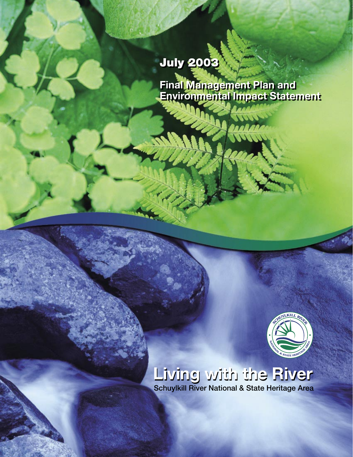# July 2003 July 2003

**Final Management Plan and Environmental Impact Statement Final Management Plan and Environmental Impact Statement**



# **Living with the River Living with the River** Schuylkill River National & State Heritage Area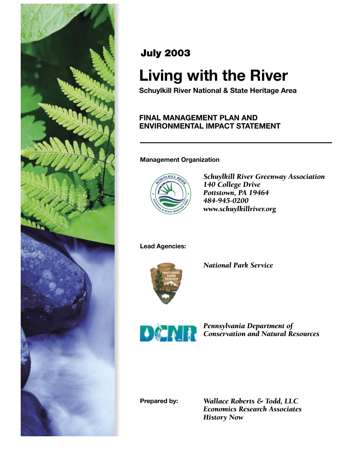

## July 2003

# **Living with the River**

**Schuylkill River National & State Heritage Area**

## **FINAL MANAGEMENT PLAN AND ENVIRONMENTAL IMPACT STATEMENT**

## **Management Organization**



*Schuylkill River Greenway Association 140 College Drive Pottstown, PA 19464 484-945-0200 www.schuylkillriver.org*

**Lead Agencies:**



*National Park Service*



*Pennsylvania Department of Conservation and Natural Resources*

**Prepared by:**

*Wallace Roberts & Todd, LLC Economics Research Associates History Now*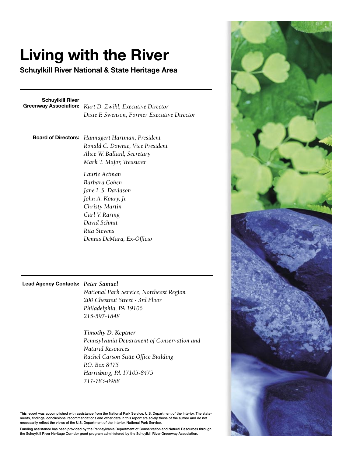# **Living with the River**

**Schuylkill River National & State Heritage Area**

**Schuylkill River**

**Greenway Association:** *Kurt D. Zwikl, Executive Director Dixie F. Swenson, Former Executive Director*

**Board of Directors:** *Hannagert Hartman, President Ronald C. Downie, Vice President Alice W. Ballard, Secretary Mark T. Major, Treasurer*

> *Laurie Actman Barbara Cohen Jane L.S. Davidson John A. Koury, Jr. Christy Martin Carl V. Raring David Schmit Rita Stevens Dennis DeMara, Ex-Officio*

#### **Lead Agency Contacts:** *Peter Samuel*

*National Park Service, Northeast Region 200 Chestnut Street - 3rd Floor Philadelphia, PA 19106 215-597-1848*

#### *Timothy D. Keptner*

*Pennsylvania Department of Conservation and Natural Resources Rachel Carson State Office Building P.O. Box 8475 Harrisburg, PA 17105-8475 717-783-0988*

This report was accomplished with assistance from the National Park Service, U.S. Department of the Interior. The statements, findings, conclusions, recommendations and other data in this report are solely those of the author and do not necessarily reflect the views of the U.S. Department of the Interior, National Park Service.

Funding assistance has been provided by the Pennsylvania Department of Conservation and Natural Resources through the Schuylkill River Heritage Corridor grant program administered by the Schuylkill River Greenway Association.

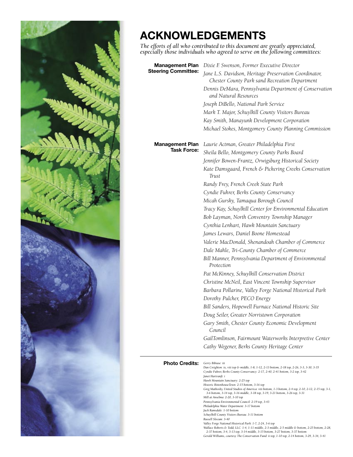

# **ACKNOWLEDGEMENTS**

*The efforts of all who contributed to this document are greatly appreciated, especially those individuals who agreed to serve on the following committees:*

| <b>Management Plan</b>                  | Dixie F. Swenson, Former Executive Director                                                              |
|-----------------------------------------|----------------------------------------------------------------------------------------------------------|
| <b>Steering Committee:</b>              | Jane L.S. Davidson, Heritage Preservation Coordinator,<br>Chester County Park sand Recreation Department |
|                                         | Dennis DeMara, Pennsylvania Department of Conservation<br>and Natural Resources                          |
|                                         | Joseph DiBello, National Park Service                                                                    |
|                                         | Mark T. Major, Schuylkill County Visitors Bureau                                                         |
|                                         | Kay Smith, Manayunk Development Corporation                                                              |
|                                         | Michael Stokes, Montgomery County Planning Commission                                                    |
| <b>Management Plan</b>                  | Laurie Actman, Greater Philadelphia First                                                                |
| <b>Task Force:</b>                      | Sheila Bello, Montgomery County Parks Board                                                              |
|                                         | Jennifer Bowen-Frantz, Orwigsburg Historical Society                                                     |
|                                         | Kate Damsgaard, French & Pickering Creeks Conservation<br>Trust                                          |
|                                         | Randy Frey, French Creek State Park                                                                      |
|                                         | Cyndie Fuhrer, Berks County Conservancy                                                                  |
|                                         | Micah Gursky, Tamaqua Borough Council                                                                    |
|                                         | Tracy Kay, Schuylkill Center for Environmental Education                                                 |
|                                         | Bob Layman, North Conventry Township Manager                                                             |
|                                         | Cynthia Lenhart, Hawk Mountain Sanctuary                                                                 |
|                                         | James Lewars, Daniel Boone Homestead                                                                     |
|                                         | Valerie MacDonald, Shenandoah Chamber of Commerce                                                        |
|                                         | Dale Mahle, Tri-County Chamber of Commerce                                                               |
|                                         | Bill Manner, Pennsylvania Department of Environmental<br>Protection                                      |
|                                         | Pat McKinney, Schuylkill Conservation District                                                           |
|                                         | Christine McNeil, East Vincent Township Supervisor                                                       |
|                                         | Barbara Pollarine, Valley Forge National Historical Park                                                 |
|                                         | Dorothy Pulcher, PECO Energy                                                                             |
|                                         | Bill Sanders, Hopewell Furnace National Historic Site                                                    |
|                                         | Doug Seiler, Greater Norristown Corporation                                                              |
|                                         | Gary Smith, Chester County Economic Development<br>Council                                               |
|                                         | GailTomlinson, Fairmount Waterworks Interpretive Center                                                  |
|                                         | Cathy Wegener, Berks County Heritage Center                                                              |
| <b>Dhoto Cradite</b> Gerry Bibiase: iii |                                                                                                          |

**Photo Credits:** Gerry Bibiase: iii<br>Dan Creighton: ix, viii top & middle, 1-8, 1-12, 2-13 bottom, 2-18 top, 2-26, 3-3, 3-30, 3-35<br>Cyndie Fuhrer, Berks County Conservancy: 2-17, 2-40, 2-41 bottom, 3-2 top, 3-42 *Janet Hartranft: i Hawk Mountain Sanctuary: 2-25 top Historic RittenhouseTown: 2-15 bottom, 3-16 top Greg Matkosky, United Studios of America: viii bottom, 1-3 bottom, 2-4 top, 2-10, 2-12, 2-15 top, 3-1, 3-6 bottom, 3-14 top, 3-16 middle, 3-18 top, 3-19, 3-21 bottom, 3-26 top, 3-31 Mill at Anselma: 2-20, 3-10 top Pennsylvania Environmental Council: 2-19 top, 3-43 Philadelphia Water Department: 3-17 bottom Jack Ramsdale: 1-10 bottom Schuylkill County Visitors Bureau: 3-11 bottom Russell Slocum: 3-40 Valley Forge National Historical Park: 1-7, 2-24, 3-6 top* Wallace Roberts & Todd, LLC: 1-4, 1-11 middle, 2-3 middle, 2-5 middle & bottom, 2-25 bottom, 2-28,<br>- 2-37 bottom, 3-4, 3-13 top, 3-14 middle, 3-15 bottom, 3-27 bottom, 3-37 bottom<br>Gerald Williams, courtesy The Conservation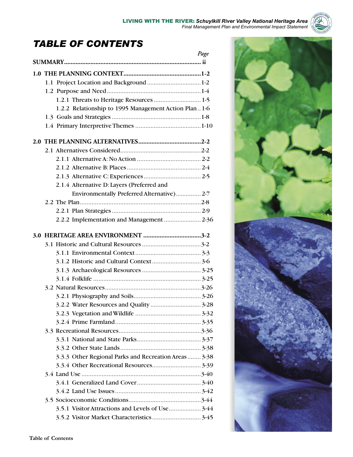## *TABLE OF CONTENTS*

| Page                                                  |  |
|-------------------------------------------------------|--|
|                                                       |  |
|                                                       |  |
|                                                       |  |
|                                                       |  |
|                                                       |  |
| 1.2.2 Relationship to 1995 Management Action Plan1-6  |  |
|                                                       |  |
|                                                       |  |
|                                                       |  |
|                                                       |  |
|                                                       |  |
|                                                       |  |
|                                                       |  |
| 2.1.4 Alternative D: Layers (Preferred and            |  |
| Environmentally Preferred Alternative) 2-7            |  |
|                                                       |  |
|                                                       |  |
|                                                       |  |
|                                                       |  |
|                                                       |  |
|                                                       |  |
|                                                       |  |
|                                                       |  |
|                                                       |  |
|                                                       |  |
|                                                       |  |
|                                                       |  |
|                                                       |  |
|                                                       |  |
|                                                       |  |
|                                                       |  |
|                                                       |  |
| 3.3.3 Other Regional Parks and Recreation Areas  3-38 |  |
|                                                       |  |
|                                                       |  |
|                                                       |  |
|                                                       |  |
|                                                       |  |
|                                                       |  |
|                                                       |  |
|                                                       |  |

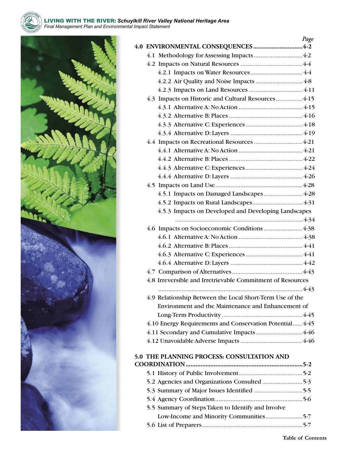



|                                                            | Page    |
|------------------------------------------------------------|---------|
| 4.0 ENVIRONMENTAL CONSEQUENCES 4-2                         |         |
|                                                            |         |
|                                                            |         |
|                                                            |         |
|                                                            |         |
|                                                            |         |
| 4.3 Impacts on Historic and Cultural Resources 4-15        |         |
|                                                            |         |
|                                                            |         |
|                                                            |         |
|                                                            |         |
|                                                            |         |
|                                                            |         |
|                                                            |         |
|                                                            |         |
|                                                            |         |
|                                                            |         |
|                                                            |         |
|                                                            |         |
| 4.5.3 Impacts on Developed and Developing Landscapes       |         |
|                                                            |         |
|                                                            |         |
|                                                            |         |
|                                                            |         |
|                                                            |         |
|                                                            |         |
|                                                            |         |
| 4.8 Irreversible and Irretrievable Commitment of Resources |         |
|                                                            |         |
| 4.9 Relationship Between the Local Short-Term Use of the   |         |
| Environment and the Maintenance and Enhancement of         |         |
|                                                            |         |
| 4.10 Energy Requirements and Conservation Potential 4-45   |         |
|                                                            |         |
|                                                            |         |
|                                                            |         |
| 5.0 THE PLANNING PROCESS: CONSULTATION AND                 |         |
|                                                            |         |
|                                                            |         |
| 5.2 Agencies and Organizations Consulted                   | $5 - 3$ |

| $\frac{1}{2}$ . There is a compared in the contraction in the intermediate in $\frac{1}{2}$ |  |
|---------------------------------------------------------------------------------------------|--|
|                                                                                             |  |
|                                                                                             |  |
|                                                                                             |  |
| 5.5 Summary of Steps Taken to Identify and Involve                                          |  |
|                                                                                             |  |
|                                                                                             |  |
|                                                                                             |  |